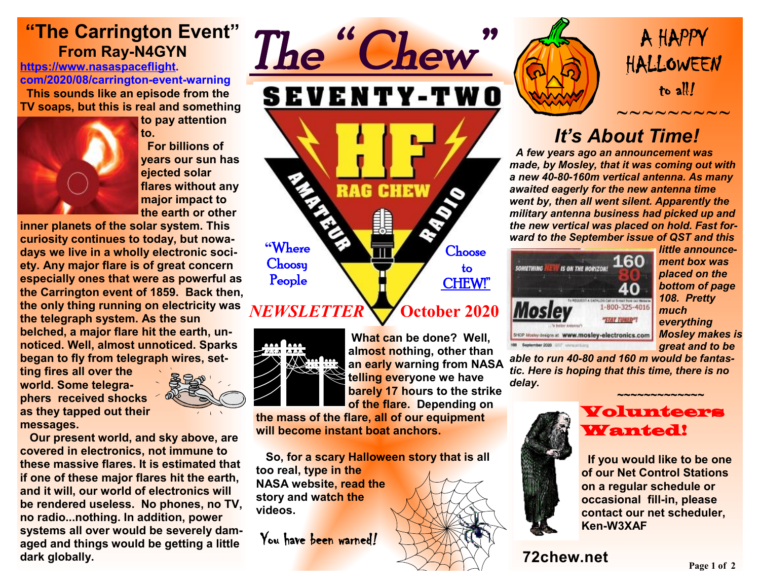# **"The Carrington Event" From Ray-N4GYN**

**<https://www.nasaspaceflight>. com/2020/08/carrington-event-warning This sounds like an episode from the TV soaps, but this is real and something** 



**to pay attention to.** 

 **For billions of years our sun has ejected solar flares without any major impact to the earth or other** 

**inner planets of the solar system. This curiosity continues to today, but nowadays we live in a wholly electronic society. Any major flare is of great concern especially ones that were as powerful as the Carrington event of 1859. Back then, the only thing running on electricity was the telegraph system. As the sun belched, a major flare hit the earth, unnoticed. Well, almost unnoticed. Sparks began to fly from telegraph wires, set-**

**ting fires all over the world. Some telegraphers received shocks as they tapped out their messages.** 



 **Our present world, and sky above, are covered in electronics, not immune to these massive flares. It is estimated that if one of these major flares hit the earth, and it will, our world of electronics will be rendered useless. No phones, no TV, no radio...nothing. In addition, power systems all over would be severely damaged and things would be getting a little dark globally.** 



**What can be done? Well, almost nothing, other than an early warning from NASA telling everyone we have barely 17 hours to the strike of the flare. Depending on** 

**the mass of the flare, all of our equipment will become instant boat anchors.** 

 **So, for a scary Halloween story that is all too real, type in the NASA website, read the story and watch the videos.** 

You have been warned*!* 





 $\sim$   $\sim$   $\sim$   $\sim$   $\sim$   $\sim$   $\sim$ 

# *It's About Time!*

 *A few years ago an announcement was made, by Mosley, that it was coming out with a new 40-80-160m vertical antenna. As many awaited eagerly for the new antenna time went by, then all went silent. Apparently the military antenna business had picked up and the new vertical was placed on hold. Fast forward to the September issue of QST and this* 



*little announcement box was placed on the bottom of page 108. Pretty much everything Mosley makes is great and to be* 

*able to run 40-80 and 160 m would be fantastic. Here is hoping that this time, there is no delay.* 



#### *~~~~~~~~~~~~~*  Volunteers Wanted!

 **If you would like to be one of our Net Control Stations on a regular schedule or occasional fill-in, please contact our net scheduler, Ken-W3XAF**

### **72chew.net**